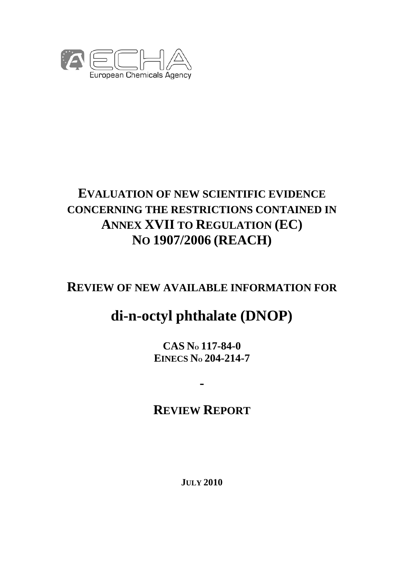

# **EVALUATION OF NEW SCIENTIFIC EVIDENCE CONCERNING THE RESTRICTIONS CONTAINED IN ANNEX XVII TO REGULATION (EC) NO 1907/2006 (REACH)**

# **REVIEW OF NEW AVAILABLE INFORMATION FOR**

# **di-n-octyl phthalate (DNOP)**

**CAS NO 117-84-0 EINECS NO 204-214-7** 

# **REVIEW REPORT**

**-** 

**JULY 2010**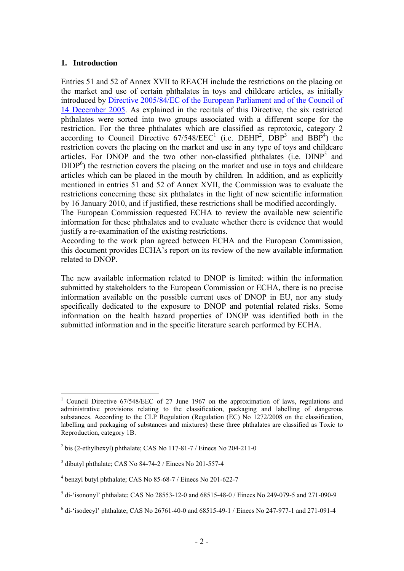#### **1. Introduction**

 $\overline{a}$ 

Entries 51 and 52 of Annex XVII to REACH include the restrictions on the placing on the market and use of certain phthalates in toys and childcare articles, as initially [introduced by Directive 2005/84/EC of the European Parliament and of the Council of](http://eur-lex.europa.eu/LexUriServ/LexUriServ.do?uri=OJ:L:2005:344:0040:0043:EN:PDF)  14 December 2005. As explained in the recitals of this Directive, the six restricted phthalates were sorted into two groups associated with a different scope for the restriction. For the three phthalates which are classified as reprotoxic, category 2 according to Council Directive  $67/548/EEC<sup>1</sup>$  (i.e. DEHP<sup>2</sup>, DBP<sup>3</sup> and BBP<sup>4</sup>) the restriction covers the placing on the market and use in any type of toys and childcare articles. For DNOP and the two other non-classified phthalates (i.e. DINP<sup>5</sup> and  $DIDP<sup>6</sup>$ ) the restriction covers the placing on the market and use in toys and childcare articles which can be placed in the mouth by children. In addition, and as explicitly mentioned in entries 51 and 52 of Annex XVII, the Commission was to evaluate the restrictions concerning these six phthalates in the light of new scientific information by 16 January 2010, and if justified, these restrictions shall be modified accordingly.

The European Commission requested ECHA to review the available new scientific information for these phthalates and to evaluate whether there is evidence that would justify a re-examination of the existing restrictions.

According to the work plan agreed between ECHA and the European Commission, this document provides ECHA's report on its review of the new available information related to DNOP.

The new available information related to DNOP is limited: within the information submitted by stakeholders to the European Commission or ECHA, there is no precise information available on the possible current uses of DNOP in EU, nor any study specifically dedicated to the exposure to DNOP and potential related risks. Some information on the health hazard properties of DNOP was identified both in the submitted information and in the specific literature search performed by ECHA.

<sup>1</sup> Council Directive 67/548/EEC of 27 June 1967 on the approximation of laws, regulations and administrative provisions relating to the classification, packaging and labelling of dangerous substances. According to the CLP Regulation (Regulation (EC) No 1272/2008 on the classification, labelling and packaging of substances and mixtures) these three phthalates are classified as Toxic to Reproduction, category 1B.

 $2^{2}$  bis (2-ethylhexyl) phthalate; CAS No 117-81-7 / Einecs No 204-211-0

<sup>3</sup> dibutyl phthalate; CAS No 84-74-2 / Einecs No 201-557-4

<sup>4</sup> benzyl butyl phthalate; CAS No 85-68-7 / Einecs No 201-622-7

 $<sup>5</sup>$  di-'isononyl' phthalate; CAS No 28553-12-0 and 68515-48-0 / Einecs No 249-079-5 and 271-090-9</sup>

 $6$  di-'isodecyl' phthalate; CAS No 26761-40-0 and 68515-49-1 / Einecs No 247-977-1 and 271-091-4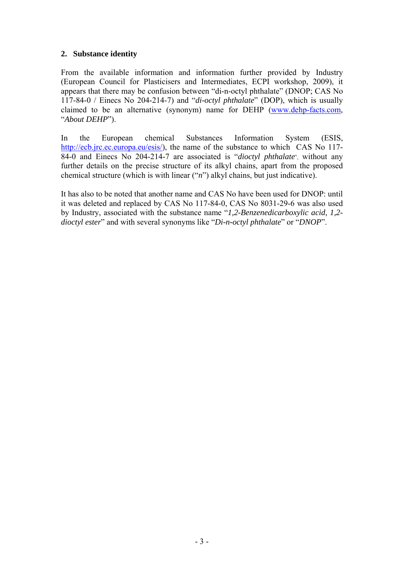# **2. Substance identity**

From the available information and information further provided by Industry (European Council for Plasticisers and Intermediates, ECPI workshop, 2009), it appears that there may be confusion between "di-n-octyl phthalate" (DNOP; CAS No 117-84-0 / Einecs No 204-214-7) and "*di-octyl phthalate*" (DOP), which is usually claimed to be an alternative (synonym) name for DEHP (www.dehp-facts.com, "*About DEHP*").

In the European chemical Substances Information System (ESIS, http://ecb.jrc.ec.europa.eu/esis/), the name of the substance to which CAS No 117-84-0 and Einecs No 204-214-7 are associated is "*dioctyl phthalate*", without any further details on the precise structure of its alkyl chains, apart from the proposed chemical structure (which is with linear ("*n*") alkyl chains, but just indicative).

It has also to be noted that another name and CAS No have been used for DNOP: until it was deleted and replaced by CAS No 117-84-0, CAS No 8031-29-6 was also used by Industry, associated with the substance name "*1,2-Benzenedicarboxylic acid, 1,2 dioctyl ester*" and with several synonyms like "*Di-n-octyl phthalate*" or "*DNOP*".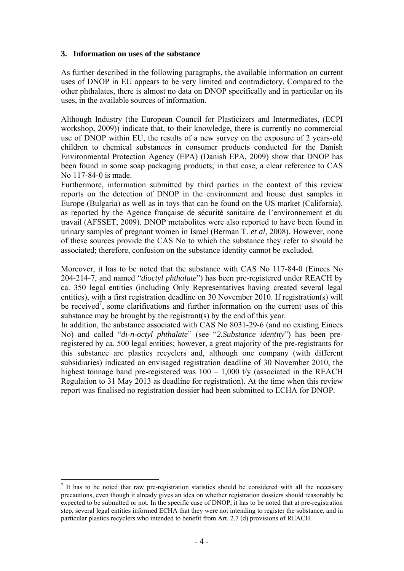#### **3. Information on uses of the substance**

As further described in the following paragraphs, the available information on current uses of DNOP in EU appears to be very limited and contradictory. Compared to the other phthalates, there is almost no data on DNOP specifically and in particular on its uses, in the available sources of information.

Although Industry (the European Council for Plasticizers and Intermediates, (ECPI workshop, 2009)) indicate that, to their knowledge, there is currently no commercial use of DNOP within EU, the results of a new survey on the exposure of 2 years-old children to chemical substances in consumer products conducted for the Danish Environmental Protection Agency (EPA) (Danish EPA, 2009) show that DNOP has been found in some soap packaging products; in that case, a clear reference to CAS No 117-84-0 is made.

Furthermore, information submitted by third parties in the context of this review reports on the detection of DNOP in the environment and house dust samples in Europe (Bulgaria) as well as in toys that can be found on the US market (California), as reported by the Agence française de sécurité sanitaire de l'environnement et du travail (AFSSET, 2009). DNOP metabolites were also reported to have been found in urinary samples of pregnant women in Israel (Berman T. *et al*, 2008). However, none of these sources provide the CAS No to which the substance they refer to should be associated; therefore, confusion on the substance identity cannot be excluded.

Moreover, it has to be noted that the substance with CAS No 117-84-0 (Einecs No 204-214-7, and named "*dioctyl phthalate*") has been pre-registered under REACH by ca. 350 legal entities (including Only Representatives having created several legal entities), with a first registration deadline on 30 November 2010. If registration(s) will be received<sup>7</sup>, some clarifications and further information on the current uses of this substance may be brought by the registrant(s) by the end of this year.

In addition, the substance associated with CAS No 8031-29-6 (and no existing Einecs No) and called "*di-n-octyl phthalate*" (see "*2.Substance identity*") has been preregistered by ca. 500 legal entities; however, a great majority of the pre-registrants for this substance are plastics recyclers and, although one company (with different subsidiaries) indicated an envisaged registration deadline of 30 November 2010, the highest tonnage band pre-registered was  $100 - 1,000$  t/y (associated in the REACH Regulation to 31 May 2013 as deadline for registration). At the time when this review report was finalised no registration dossier had been submitted to ECHA for DNOP.

 $\overline{a}$ 

 $<sup>7</sup>$  It has to be noted that raw pre-registration statistics should be considered with all the necessary</sup> precautions, even though it already gives an idea on whether registration dossiers should reasonably be expected to be submitted or not. In the specific case of DNOP, it has to be noted that at pre-registration step, several legal entities informed ECHA that they were not intending to register the substance, and in particular plastics recyclers who intended to benefit from Art. 2.7 (d) provisions of REACH.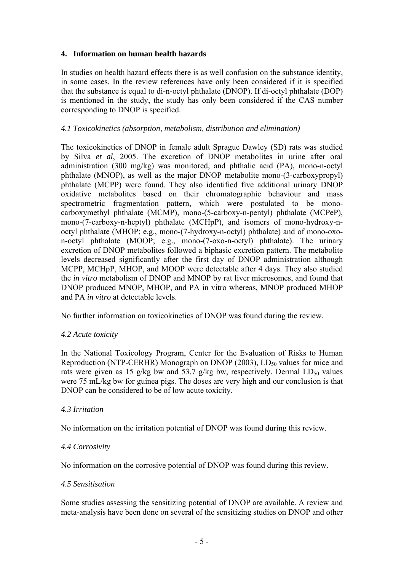# **4. Information on human health hazards**

In studies on health hazard effects there is as well confusion on the substance identity, in some cases. In the review references have only been considered if it is specified that the substance is equal to di-n-octyl phthalate (DNOP). If di-octyl phthalate (DOP) is mentioned in the study, the study has only been considered if the CAS number corresponding to DNOP is specified.

#### *4.1 Toxicokinetics (absorption, metabolism, distribution and elimination)*

The toxicokinetics of DNOP in female adult Sprague Dawley (SD) rats was studied by Silva *et al*, 2005. The excretion of DNOP metabolites in urine after oral administration (300 mg/kg) was monitored, and phthalic acid (PA), mono-n-octyl phthalate (MNOP), as well as the major DNOP metabolite mono-(3-carboxypropyl) phthalate (MCPP) were found. They also identified five additional urinary DNOP oxidative metabolites based on their chromatographic behaviour and mass spectrometric fragmentation pattern, which were postulated to be monocarboxymethyl phthalate (MCMP), mono-(5-carboxy-n-pentyl) phthalate (MCPeP), mono-(7-carboxy-n-heptyl) phthalate (MCHpP), and isomers of mono-hydroxy-noctyl phthalate (MHOP; e.g., mono-(7-hydroxy-n-octyl) phthalate) and of mono-oxon-octyl phthalate (MOOP; e.g., mono-(7-oxo-n-octyl) phthalate). The urinary excretion of DNOP metabolites followed a biphasic excretion pattern. The metabolite levels decreased significantly after the first day of DNOP administration although MCPP, MCHpP, MHOP, and MOOP were detectable after 4 days. They also studied the *in vitro* metabolism of DNOP and MNOP by rat liver microsomes, and found that DNOP produced MNOP, MHOP, and PA in vitro whereas, MNOP produced MHOP and PA *in vitro* at detectable levels.

No further information on toxicokinetics of DNOP was found during the review.

# *4.2 Acute toxicity*

In the National Toxicology Program, Center for the Evaluation of Risks to Human Reproduction (NTP-CERHR) Monograph on DNOP (2003),  $LD_{50}$  values for mice and rats were given as 15 g/kg bw and 53.7 g/kg bw, respectively. Dermal  $LD_{50}$  values were 75 mL/kg bw for guinea pigs. The doses are very high and our conclusion is that DNOP can be considered to be of low acute toxicity.

#### *4.3 Irritation*

No information on the irritation potential of DNOP was found during this review.

# *4.4 Corrosivity*

No information on the corrosive potential of DNOP was found during this review.

#### *4.5 Sensitisation*

Some studies assessing the sensitizing potential of DNOP are available. A review and meta-analysis have been done on several of the sensitizing studies on DNOP and other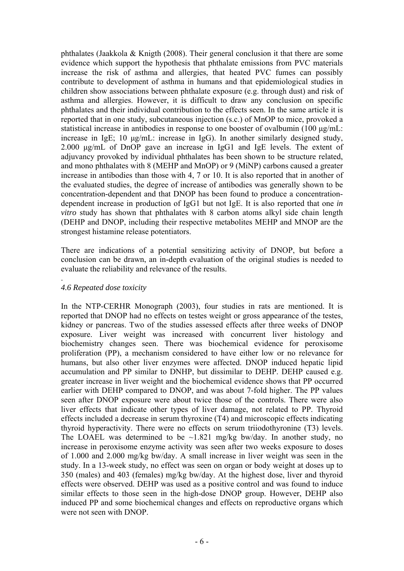phthalates (Jaakkola & Knigth (2008). Their general conclusion it that there are some evidence which support the hypothesis that phthalate emissions from PVC materials increase the risk of asthma and allergies, that heated PVC fumes can possibly contribute to development of asthma in humans and that epidemiological studies in children show associations between phthalate exposure (e.g. through dust) and risk of asthma and allergies. However, it is difficult to draw any conclusion on specific phthalates and their individual contribution to the effects seen. In the same article it is reported that in one study, subcutaneous injection (s.c.) of MnOP to mice, provoked a statistical increase in antibodies in response to one booster of ovalbumin (100 μg/mL: increase in IgE; 10 μg/mL: increase in IgG). In another similarly designed study, 2.000 μg/mL of DnOP gave an increase in IgG1 and IgE levels. The extent of adjuvancy provoked by individual phthalates has been shown to be structure related, and mono phthalates with 8 (MEHP and MnOP) or 9 (MiNP) carbons caused a greater increase in antibodies than those with 4, 7 or 10. It is also reported that in another of the evaluated studies, the degree of increase of antibodies was generally shown to be concentration-dependent and that DNOP has been found to produce a concentrationdependent increase in production of IgG1 but not IgE. It is also reported that one *in vitro* study has shown that phthalates with 8 carbon atoms alkyl side chain length (DEHP and DNOP, including their respective metabolites MEHP and MNOP are the strongest histamine release potentiators.

There are indications of a potential sensitizing activity of DNOP, but before a conclusion can be drawn, an in-depth evaluation of the original studies is needed to evaluate the reliability and relevance of the results.

#### *4.6 Repeated dose toxicity*

.

In the NTP-CERHR Monograph (2003), four studies in rats are mentioned. It is reported that DNOP had no effects on testes weight or gross appearance of the testes, kidney or pancreas. Two of the studies assessed effects after three weeks of DNOP exposure. Liver weight was increased with concurrent liver histology and biochemistry changes seen. There was biochemical evidence for peroxisome proliferation (PP), a mechanism considered to have either low or no relevance for humans, but also other liver enzymes were affected. DNOP induced hepatic lipid accumulation and PP similar to DNHP, but dissimilar to DEHP. DEHP caused e.g. greater increase in liver weight and the biochemical evidence shows that PP occurred earlier with DEHP compared to DNOP, and was about 7-fold higher. The PP values seen after DNOP exposure were about twice those of the controls. There were also liver effects that indicate other types of liver damage, not related to PP. Thyroid effects included a decrease in serum thyroxine (T4) and microscopic effects indicating thyroid hyperactivity. There were no effects on serum triiodothyronine (T3) levels. The LOAEL was determined to be  $\sim$ 1.821 mg/kg bw/day. In another study, no increase in peroxisome enzyme activity was seen after two weeks exposure to doses of 1.000 and 2.000 mg/kg bw/day. A small increase in liver weight was seen in the study. In a 13-week study, no effect was seen on organ or body weight at doses up to 350 (males) and 403 (females) mg/kg bw/day. At the highest dose, liver and thyroid effects were observed. DEHP was used as a positive control and was found to induce similar effects to those seen in the high-dose DNOP group. However, DEHP also induced PP and some biochemical changes and effects on reproductive organs which were not seen with DNOP.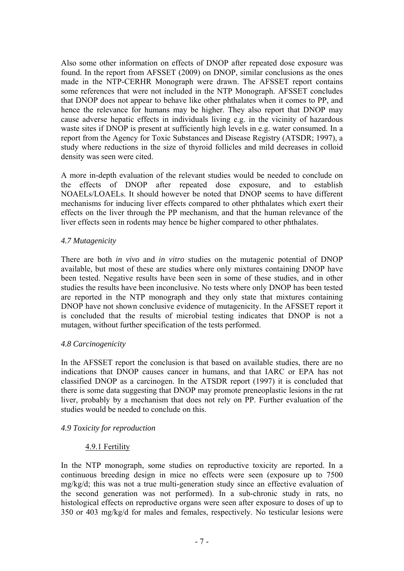Also some other information on effects of DNOP after repeated dose exposure was found. In the report from AFSSET (2009) on DNOP, similar conclusions as the ones made in the NTP-CERHR Monograph were drawn. The AFSSET report contains some references that were not included in the NTP Monograph. AFSSET concludes that DNOP does not appear to behave like other phthalates when it comes to PP, and hence the relevance for humans may be higher. They also report that DNOP may cause adverse hepatic effects in individuals living e.g. in the vicinity of hazardous waste sites if DNOP is present at sufficiently high levels in e.g. water consumed. In a report from the Agency for Toxic Substances and Disease Registry (ATSDR; 1997), a study where reductions in the size of thyroid follicles and mild decreases in colloid density was seen were cited.

A more in-depth evaluation of the relevant studies would be needed to conclude on the effects of DNOP after repeated dose exposure, and to establish NOAELs/LOAELs. It should however be noted that DNOP seems to have different mechanisms for inducing liver effects compared to other phthalates which exert their effects on the liver through the PP mechanism, and that the human relevance of the liver effects seen in rodents may hence be higher compared to other phthalates.

# *4.7 Mutagenicity*

There are both *in vivo* and *in vitro* studies on the mutagenic potential of DNOP available, but most of these are studies where only mixtures containing DNOP have been tested. Negative results have been seen in some of these studies, and in other studies the results have been inconclusive. No tests where only DNOP has been tested are reported in the NTP monograph and they only state that mixtures containing DNOP have not shown conclusive evidence of mutagenicity. In the AFSSET report it is concluded that the results of microbial testing indicates that DNOP is not a mutagen, without further specification of the tests performed.

# *4.8 Carcinogenicity*

In the AFSSET report the conclusion is that based on available studies, there are no indications that DNOP causes cancer in humans, and that IARC or EPA has not classified DNOP as a carcinogen. In the ATSDR report (1997) it is concluded that there is some data suggesting that DNOP may promote preneoplastic lesions in the rat liver, probably by a mechanism that does not rely on PP. Further evaluation of the studies would be needed to conclude on this.

# *4.9 Toxicity for reproduction*

# 4.9.1 Fertility

In the NTP monograph, some studies on reproductive toxicity are reported. In a continuous breeding design in mice no effects were seen (exposure up to 7500 mg/kg/d; this was not a true multi-generation study since an effective evaluation of the second generation was not performed). In a sub-chronic study in rats, no histological effects on reproductive organs were seen after exposure to doses of up to 350 or 403 mg/kg/d for males and females, respectively. No testicular lesions were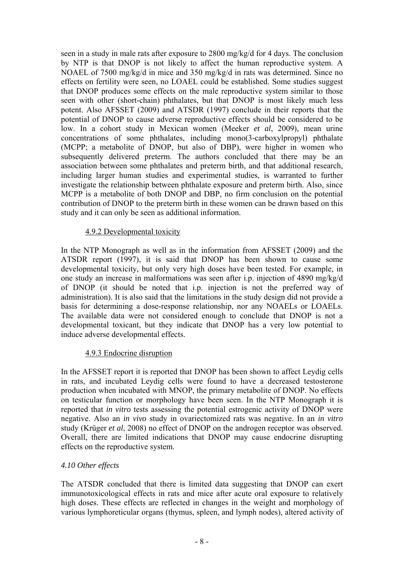seen in a study in male rats after exposure to 2800 mg/kg/d for 4 days. The conclusion by NTP is that DNOP is not likely to affect the human reproductive system. A NOAEL of 7500 mg/kg/d in mice and 350 mg/kg/d in rats was determined. Since no effects on fertility were seen, no LOAEL could be established. Some studies suggest that DNOP produces some effects on the male reproductive system similar to those seen with other (short-chain) phthalates, but that DNOP is most likely much less potent. Also AFSSET (2009) and ATSDR (1997) conclude in their reports that the potential of DNOP to cause adverse reproductive effects should be considered to be low. In a cohort study in Mexican women (Meeker *et al*, 2009), mean urine concentrations of some phthalates, including mono(3-carboxylpropyl) phthalate (MCPP; a metabolite of DNOP, but also of DBP), were higher in women who subsequently delivered preterm. The authors concluded that there may be an association between some phthalates and preterm birth, and that additional research, including larger human studies and experimental studies, is warranted to further investigate the relationship between phthalate exposure and preterm birth. Also, since MCPP is a metabolite of both DNOP and DBP, no firm conclusion on the potential contribution of DNOP to the preterm birth in these women can be drawn based on this study and it can only be seen as additional information.

# 4.9.2 Developmental toxicity

In the NTP Monograph as well as in the information from AFSSET (2009) and the ATSDR report (1997), it is said that DNOP has been shown to cause some developmental toxicity, but only very high doses have been tested. For example, in one study an increase in malformations was seen after i.p. injection of 4890 mg/kg/d of DNOP (it should be noted that i.p. injection is not the preferred way of administration). It is also said that the limitations in the study design did not provide a basis for determining a dose-response relationship, nor any NOAELs or LOAELs. The available data were not considered enough to conclude that DNOP is not a developmental toxicant, but they indicate that DNOP has a very low potential to induce adverse developmental effects.

# 4.9.3 Endocrine disruption

In the AFSSET report it is reported that DNOP has been shown to affect Leydig cells in rats, and incubated Leydig cells were found to have a decreased testosterone production when incubated with MNOP, the primary metabolite of DNOP. No effects on testicular function or morphology have been seen. In the NTP Monograph it is reported that *in vitro* tests assessing the potential estrogenic activity of DNOP were negative. Also an *in vivo* study in ovariectomized rats was negative. In an *in vitro* study (Krüger *et al*, 2008) no effect of DNOP on the androgen receptor was observed. Overall, there are limited indications that DNOP may cause endocrine disrupting effects on the reproductive system.

# *4.10 Other effects*

The ATSDR concluded that there is limited data suggesting that DNOP can exert immunotoxicological effects in rats and mice after acute oral exposure to relatively high doses. These effects are reflected in changes in the weight and morphology of various lymphoreticular organs (thymus, spleen, and lymph nodes), altered activity of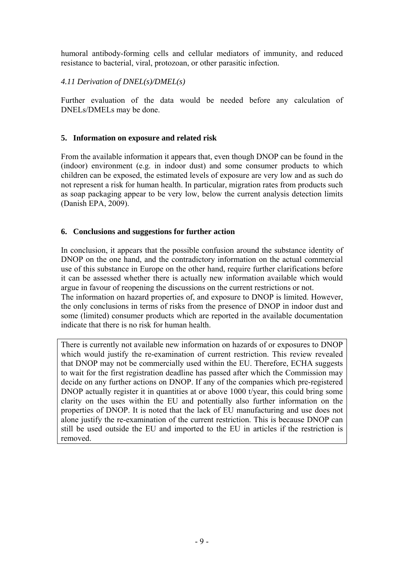humoral antibody-forming cells and cellular mediators of immunity, and reduced resistance to bacterial, viral, protozoan, or other parasitic infection.

*4.11 Derivation of DNEL(s)/DMEL(s)* 

Further evaluation of the data would be needed before any calculation of DNELs/DMELs may be done.

# **5. Information on exposure and related risk**

From the available information it appears that, even though DNOP can be found in the (indoor) environment (e.g. in indoor dust) and some consumer products to which children can be exposed, the estimated levels of exposure are very low and as such do not represent a risk for human health. In particular, migration rates from products such as soap packaging appear to be very low, below the current analysis detection limits (Danish EPA, 2009).

# **6. Conclusions and suggestions for further action**

In conclusion, it appears that the possible confusion around the substance identity of DNOP on the one hand, and the contradictory information on the actual commercial use of this substance in Europe on the other hand, require further clarifications before it can be assessed whether there is actually new information available which would argue in favour of reopening the discussions on the current restrictions or not.

The information on hazard properties of, and exposure to DNOP is limited. However, the only conclusions in terms of risks from the presence of DNOP in indoor dust and some (limited) consumer products which are reported in the available documentation indicate that there is no risk for human health.

There is currently not available new information on hazards of or exposures to DNOP which would justify the re-examination of current restriction. This review revealed that DNOP may not be commercially used within the EU. Therefore, ECHA suggests to wait for the first registration deadline has passed after which the Commission may decide on any further actions on DNOP. If any of the companies which pre-registered DNOP actually register it in quantities at or above 1000 t/year, this could bring some clarity on the uses within the EU and potentially also further information on the properties of DNOP. It is noted that the lack of EU manufacturing and use does not alone justify the re-examination of the current restriction. This is because DNOP can still be used outside the EU and imported to the EU in articles if the restriction is removed.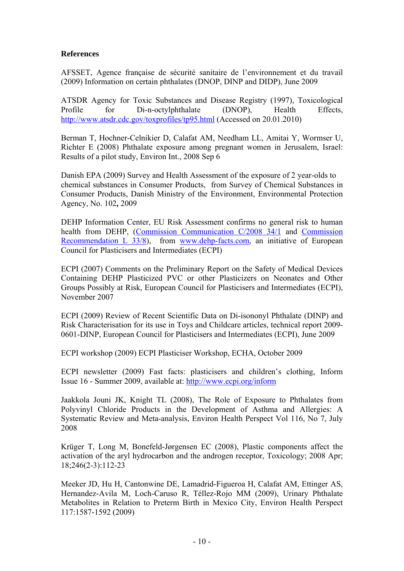# **References**

AFSSET, Agence française de sécurité sanitaire de l'environnement et du travail (2009) Information on certain phthalates (DNOP, DINP and DIDP), June 2009

ATSDR Agency for Toxic Substances and Disease Registry (1997), Toxicological Profile for Di-n-octylphthalate (DNOP), Health Effects, http://www.atsdr.cdc.gov/toxprofiles/tp95.html (Accessed on 20.01.2010)

Berman T, Hochner-Celnikier D, Calafat AM, Needham LL, Amitai Y, Wormser U, Richter E (2008) Phthalate exposure among pregnant women in Jerusalem, Israel: Results of a pilot study, Environ Int., 2008 Sep 6

Danish EPA (2009) Survey and Health Assessment of the exposure of 2 year-olds to chemical substances in Consumer Products, from Survey of Chemical Substances in Consumer Products, Danish Ministry of the Environment, Environmental Protection Agency, No. 102**,** 2009

DEHP Information Center, EU Risk Assessment confirms no general risk to human health from DEHP, (Commission Communication C/2008 34/1 and Commission Recommendation L 33/8), from www.dehp-facts.com, an initiative of European Council for Plasticisers and Intermediates (ECPI)

ECPI (2007) Comments on the Preliminary Report on the Safety of Medical Devices Containing DEHP Plasticized PVC or other Plasticizers on Neonates and Other Groups Possibly at Risk, European Council for Plasticisers and Intermediates (ECPI), November 2007

ECPI (2009) Review of Recent Scientific Data on Di-isononyl Phthalate (DINP) and Risk Characterisation for its use in Toys and Childcare articles, technical report 2009- 0601-DINP, European Council for Plasticisers and Intermediates (ECPI), June 2009

ECPI workshop (2009) ECPI Plasticiser Workshop, ECHA, October 2009

ECPI newsletter (2009) Fast facts: plasticisers and children's clothing, Inform Issue 16 - Summer 2009, available at: http://www.ecpi.org/inform

Jaakkola Jouni JK, Knight TL (2008), The Role of Exposure to Phthalates from Polyvinyl Chloride Products in the Development of Asthma and Allergies: A Systematic Review and Meta-analysis, Environ Health Perspect Vol 116, No 7, July 2008

Krüger T, Long M, Bonefeld-Jørgensen EC (2008), Plastic components affect the activation of the aryl hydrocarbon and the androgen receptor, Toxicology; 2008 Apr; 18;246(2-3):112-23

Meeker JD, Hu H, Cantonwine DE, Lamadrid-Figueroa H, Calafat AM, Ettinger AS, Hernandez-Avila M, Loch-Caruso R, Téllez-Rojo MM (2009), Urinary Phthalate Metabolites in Relation to Preterm Birth in Mexico City, Environ Health Perspect 117:1587-1592 (2009)